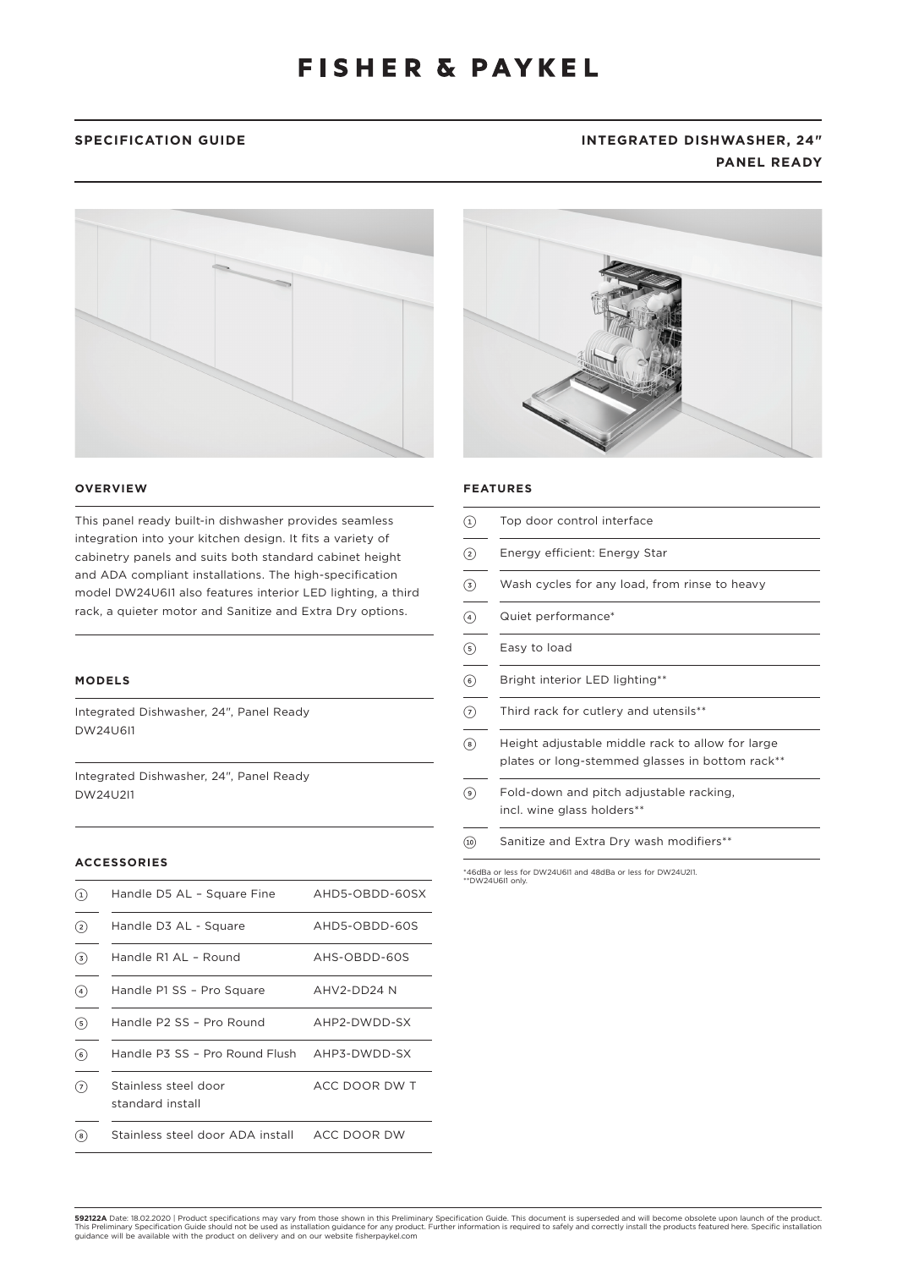# SPECIFICATION GUIDE **INTEGRATED DISHWASHER, 24**" **PANEL READY**





This panel ready built-in dishwasher provides seamless integration into your kitchen design. It fits a variety of cabinetry panels and suits both standard cabinet height and ADA compliant installations. The high-specification model DW24U6I1 also features interior LED lighting, a third rack, a quieter motor and Sanitize and Extra Dry options.

### **MODELS**

Integrated Dishwasher, 24", Panel Ready DW24U6I1

Integrated Dishwasher, 24", Panel Ready DW24U2I1

## **ACCESSORIES**

| $\left(1\right)$ | Handle D5 AL - Square Fine               | AHD5-OBDD-60SX |
|------------------|------------------------------------------|----------------|
| $(2)$            | Handle D3 AL - Square                    | AHD5-OBDD-60S  |
| $\circ$          | Handle R1 AL - Round                     | AHS-OBDD-60S   |
| (4)              | Handle P1 SS - Pro Square                | AHV2-DD24 N    |
| $\circled{s}$    | Handle P2 SS - Pro Round                 | AHP2-DWDD-SX   |
| $\circ$          | Handle P3 SS - Pro Round Flush           | AHP3-DWDD-SX   |
| (7)              | Stainless steel door<br>standard install | ACC DOOR DW T  |
| (8               | Stainless steel door ADA install         | ACC DOOR DW    |



## **FEATURES**

| $\left( 1\right)$ | Top door control interface                                                                          |  |
|-------------------|-----------------------------------------------------------------------------------------------------|--|
| ②                 | Energy efficient: Energy Star                                                                       |  |
| $\circled{3}$     | Wash cycles for any load, from rinse to heavy                                                       |  |
| $\left( 4\right)$ | Quiet performance*                                                                                  |  |
| $\circled{s}$     | Easy to load                                                                                        |  |
| $\circled{6}$     | Bright interior LED lighting**                                                                      |  |
| 7                 | Third rack for cutlery and utensils**                                                               |  |
| $^{(8)}$          | Height adjustable middle rack to allow for large<br>plates or long-stemmed glasses in bottom rack** |  |
| ( 9 )             | Fold-down and pitch adjustable racking,<br>incl. wine glass holders**                               |  |
| (10)              | Sanitize and Extra Dry wash modifiers**                                                             |  |

\*46dBa or less for DW24U6I1 and 48dBa or less for DW24U2I1. \*\*DW24U6I1 only.

**592122A** Date: 18.02.2020 | Product specifications may vary from those shown in this Preliminary Specification Guide. This document is superseded and will become obsolete upon launch of the product.<br>This Preliminary Speci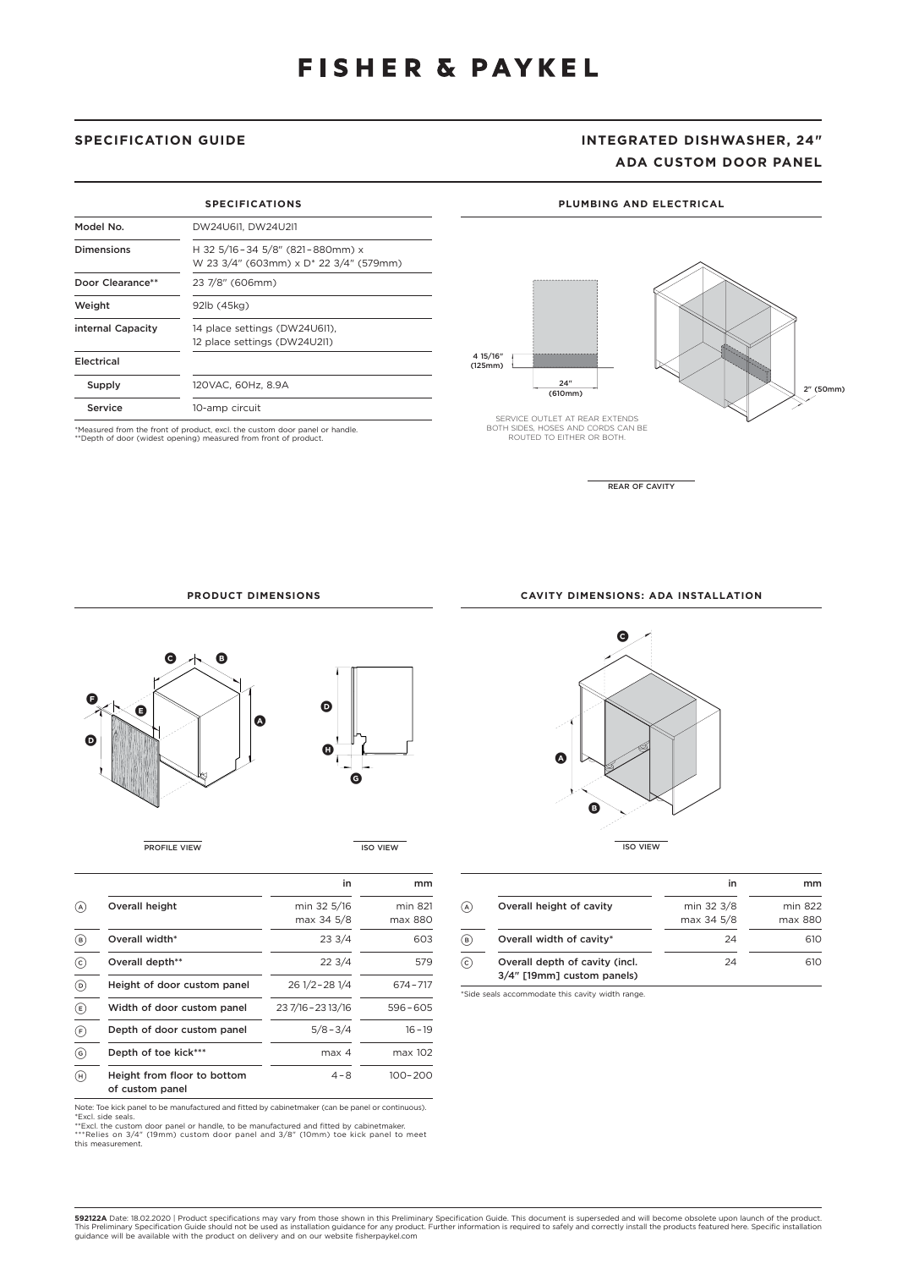# **SPECIFICATION GUIDE INTEGRATED DISHWASHER, 24" ADA CUSTOM DOOR PANEL**

| <b>SPECIFICATIONS</b>               |                                                                           |  |
|-------------------------------------|---------------------------------------------------------------------------|--|
| Model No.                           | DW24U6I1, DW24U2I1                                                        |  |
| <b>Dimensions</b>                   | H 32 5/16-34 5/8" (821-880mm) x<br>W 23 3/4" (603mm) x D* 22 3/4" (579mm) |  |
| Door Clearance**<br>23 7/8" (606mm) |                                                                           |  |
| Weight                              | 92lb (45kg)                                                               |  |
| internal Capacity                   | 14 place settings (DW24U6I1),<br>12 place settings (DW24U2I1)             |  |
| Electrical                          |                                                                           |  |
| Supply                              | 120VAC. 60Hz. 8.9A                                                        |  |
| Service                             | 10-amp circuit                                                            |  |

\*Measured from the front of product, excl. the custom door panel or handle. \*\*Depth of door (widest opening) measured from front of product.

4 15/16" (125mm)

SERVICE OUTLET AT REAR EXTENDS BOTH SIDES, HOSES AND CORDS CAN BE ROUTED TO EITHER OR BOTH.

 $\frac{24^n}{(610mm)}$ 



2" (50mm)

REAR OF CAVITY

**PLUMBING AND ELECTRICAL**

**PRODUCT DIMENSIONS**



PROFILE VIEW ISO VIEW

|                                                | in                        | mm                 |
|------------------------------------------------|---------------------------|--------------------|
| Overall height                                 | min 32 5/16<br>max 34 5/8 | min 821<br>max 880 |
| Overall width*                                 | 233/4                     | 603                |
| Overall depth**                                | 223/4                     | 579                |
| Height of door custom panel                    | 26 1/2 - 28 1/4           | 674-717            |
| Width of door custom panel                     | 23 7/16 - 23 13/16        | $596 - 605$        |
| Depth of door custom panel                     | $5/8 - 3/4$               | $16 - 19$          |
| Depth of toe kick***                           | max <sub>4</sub>          | max 102            |
| Height from floor to bottom<br>of custom panel | $4 - 8$                   | 100-200            |

Note: Toe kick panel to be manufactured and fitted by cabinetmaker (can be panel or continuous).<br>"Excl. side seals.<br>"Excl. the custom door panel or handle, to be manufactured and fitted by cabinetmaker.<br>\*\*"Relies on 3/4" (

this measurement.

**CAVITY DIMENSIONS: ADA INSTALLATION**



|                                                              | in         | mm      |
|--------------------------------------------------------------|------------|---------|
| Overall height of cavity                                     | min 32 3/8 | min 822 |
|                                                              | max 34 5/8 | max 880 |
| Overall width of cavity*                                     | 24         | 610     |
| Overall depth of cavity (incl.<br>3/4" [19mm] custom panels) | 24         | 610     |

\*Side seals accommodate this cavity width range.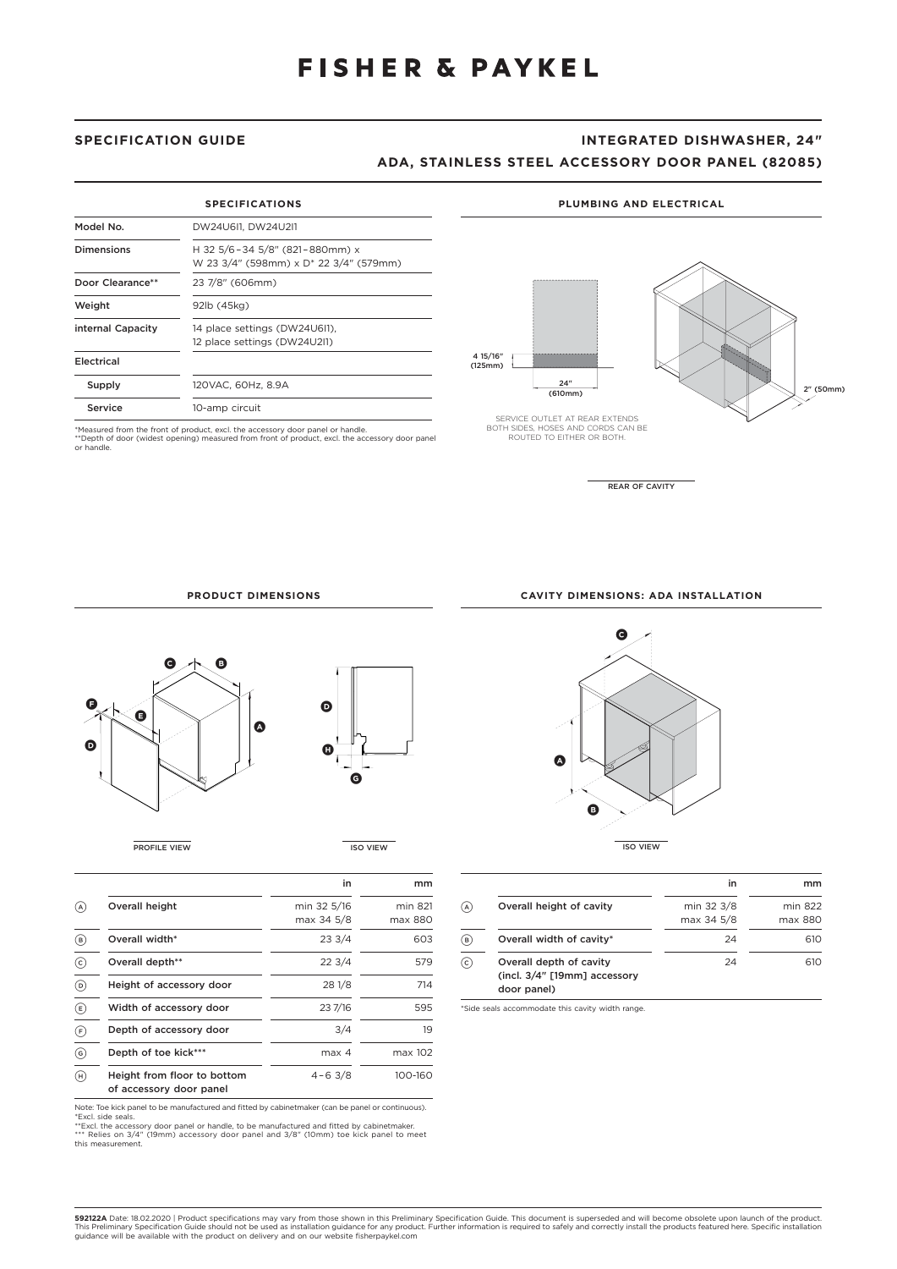## **SPECIFICATION GUIDE INTEGRATED DISHWASHER, 24"**

## **ADA, STAINLESS STEEL ACCESSORY DOOR PANEL (82085)**

| <b>SPECIFICATIONS</b> |                                                                                      |  |
|-----------------------|--------------------------------------------------------------------------------------|--|
| Model No.             | DW24U6I1. DW24U2I1                                                                   |  |
| <b>Dimensions</b>     | H 32 5/6-34 5/8" (821-880mm) x<br>W 23 3/4" (598mm) x D <sup>*</sup> 22 3/4" (579mm) |  |
| Door Clearance**      | 23 7/8" (606mm)                                                                      |  |
| Weight                | 92lb (45kg)                                                                          |  |
| internal Capacity     | 14 place settings (DW24U6I1),<br>12 place settings (DW24U2I1)                        |  |
| Electrical            |                                                                                      |  |
| Supply                | 120VAC. 60Hz. 8.9A                                                                   |  |
| Service               | 10-amp circuit                                                                       |  |

\*Measured from the front of product, excl. the accessory door panel or handle. \*\*Depth of door (widest opening) measured from front of product, excl. the accessory door panel or handle.

### **PLUMBING AND ELECTRICAL**



REAR OF CAVITY

**PRODUCT DIMENSIONS**



**PROFILE VIEW ISO VIEW** 

|                                    |                                                        | in                        | mm                 |
|------------------------------------|--------------------------------------------------------|---------------------------|--------------------|
| (A)                                | Overall height                                         | min 32 5/16<br>max 34 5/8 | min 821<br>max 880 |
| (в)                                | Overall width*                                         | 233/4                     | 603                |
| $\left( c\right)$                  | Overall depth**                                        | 223/4                     | 579                |
| @                                  | Height of accessory door                               | 28 1/8                    | 714                |
| $\circled{\scriptstyle\mathrm{E}}$ | Width of accessory door                                | 23 7/16                   | 595                |
| (F)                                | Depth of accessory door                                | 3/4                       | 19                 |
| (ව)                                | Depth of toe kick***                                   | max 4                     | max 102            |
| (H)                                | Height from floor to bottom<br>of accessory door panel | $4 - 63/8$                | 100-160            |

Note: Toe kick panel to be manufactured and fitted by cabinetmaker (can be panel or continuous).<br>"Excl. side seals.<br>"Excl. sithe accessory door panel or handle, to be manufactured and fitted by cabinetmaker.<br>\*\*\* Relies on

this measurement.

**CAVITY DIMENSIONS: ADA INSTALLATION**



|                                                                        | in                       | mm                 |
|------------------------------------------------------------------------|--------------------------|--------------------|
| Overall height of cavity                                               | min 32 3/8<br>max 34 5/8 | min 822<br>max 880 |
| Overall width of cavity*                                               | 24                       | 610                |
| Overall depth of cavity<br>(incl. 3/4" [19mm] accessory<br>door panel) | 24                       | 610                |

\*Side seals accommodate this cavity width range.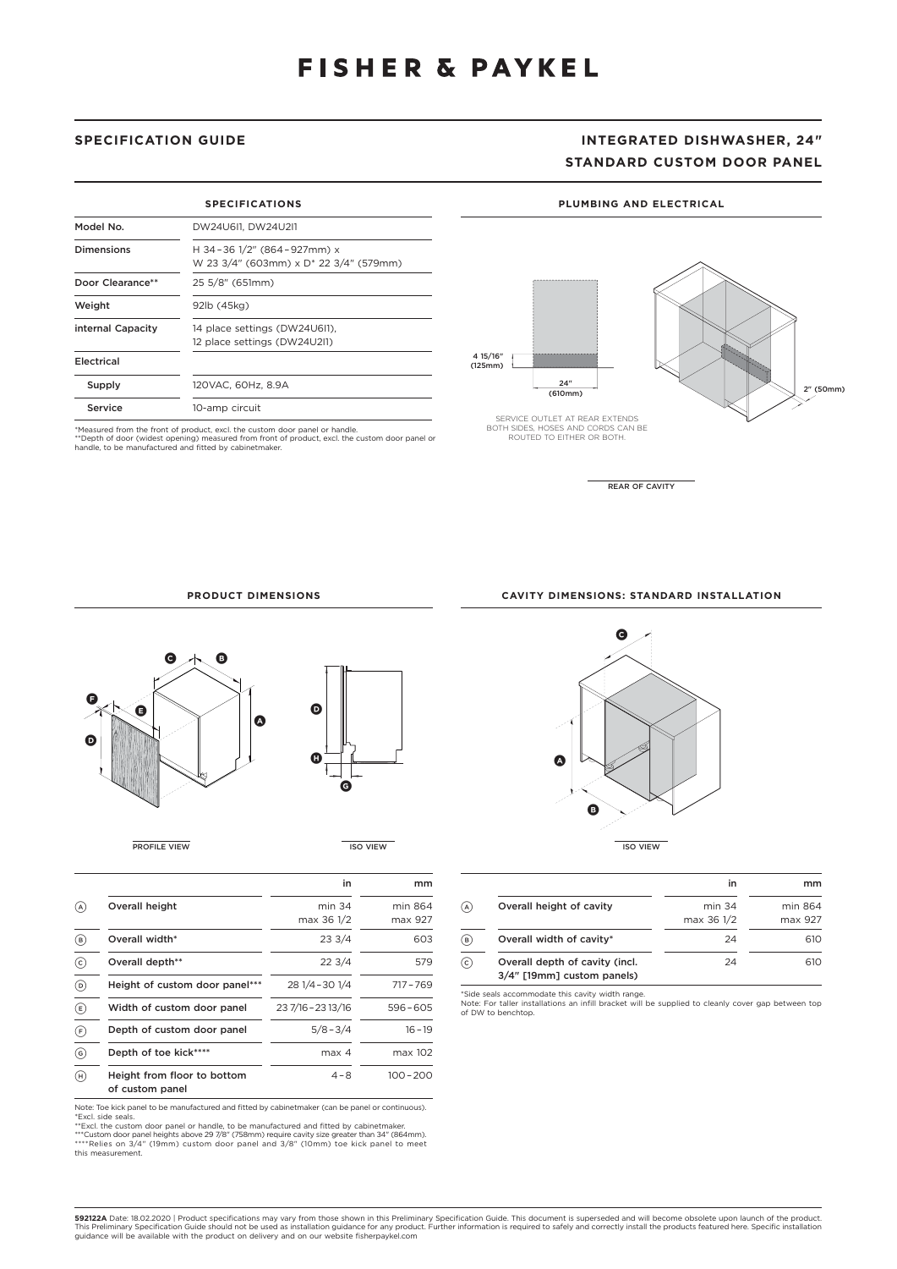# **SPECIFICATION GUIDE INTEGRATED DISHWASHER, 24" STANDARD CUSTOM DOOR PANEL**

2" (50mm)

### **PLUMBING AND ELECTRICAL**

| <b>SPECIFICATIONS</b>               |                                                                                  |  |
|-------------------------------------|----------------------------------------------------------------------------------|--|
| Model No.                           | DW24U611, DW24U211                                                               |  |
| Dimensions                          | H 34-36 1/2" (864-927mm) x<br>W 23 3/4" (603mm) x D <sup>*</sup> 22 3/4" (579mm) |  |
| Door Clearance**<br>25 5/8" (651mm) |                                                                                  |  |
| Weight                              | 92lb (45kg)                                                                      |  |
| internal Capacity                   | 14 place settings (DW24U6I1),<br>12 place settings (DW24U2I1)                    |  |
| Electrical                          |                                                                                  |  |
| Supply                              | 120VAC, 60Hz, 8.9A                                                               |  |
| Service                             | 10-amp circuit                                                                   |  |

\*Measured from the front of product, excl. the custom door panel or handle.<br>\*\*Depth of door (widest opening) measured from front of product, excl. the custom door panel or<br>handle, to be manufactured and fitted by cabinetma

SERVICE OUTLET AT REAR EXTENDS BOTH SIDES, HOSES AND CORDS CAN BE ROUTED TO EITHER OR BOTH.

 $\frac{24^n}{(610mm)}$ 

4 15/16" (125mm)

REAR OF CAVITY

### **PRODUCT DIMENSIONS**



|                           |                                                | in                   | mm                 |
|---------------------------|------------------------------------------------|----------------------|--------------------|
| (A)                       | Overall height                                 | min 34<br>max 36 1/2 | min 864<br>max 927 |
| (B)                       | Overall width*                                 | 233/4                | 603                |
| $\odot$                   | Overall depth**                                | 223/4                | 579                |
| $\circ$                   | Height of custom door panel***                 | 28 1/4 - 30 1/4      | $717 - 769$        |
| $\left(\mathsf{E}\right)$ | Width of custom door panel                     | 23 7/16 - 23 13/16   | $596 - 605$        |
| (F)                       | Depth of custom door panel                     | $5/8 - 3/4$          | $16 - 19$          |
| $\binom{6}{}$             | Depth of toe kick****                          | max <sub>4</sub>     | max 102            |
| (H)                       | Height from floor to bottom<br>of custom panel | $4 - 8$              | $100 - 200$        |

Note: Toe kick panel to be manufactured and fitted by cabinetmaker (can be panel or continuous).<br>\*Excl. side seals.<br>\*\*Excl. the custom door panel or handle, to be manufactured and fitted by cabinetmaker.<br>\*\*\*Custom door pan this measurement.

**C B A PROFILE VIEW ISO VIEW ISO VIEW ISO VIEW ISO VIEW ISO VIEW ISO VIEW** 

|                                                              | in         | mm      |
|--------------------------------------------------------------|------------|---------|
| Overall height of cavity                                     | $min$ 34   | min 864 |
|                                                              | max 36 1/2 | max 927 |
| Overall width of cavity*                                     | 24         | 610     |
| Overall depth of cavity (incl.<br>3/4" [19mm] custom panels) | 24         | 610     |

\*Side seals accommodate this cavity width range. Note: For taller installations an infill bracket will be supplied to cleanly cover gap between top of DW to benchtop.

**CAVITY DIMENSIONS: STANDARD INSTALLATION**